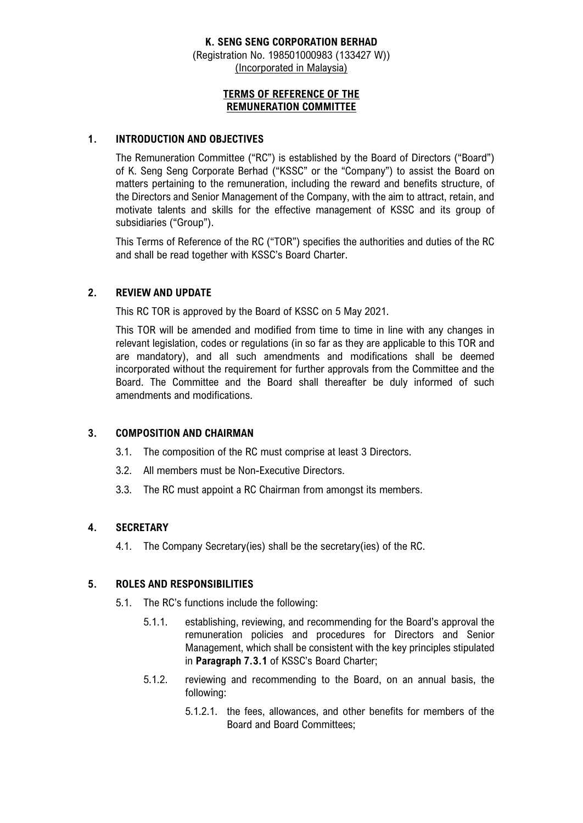# **K. SENG SENG CORPORATION BERHAD**

(Registration No. 198501000983 (133427 W)) (Incorporated in Malaysia)

# **TERMS OF REFERENCE OF THE REMUNERATION COMMITTEE**

#### **1. INTRODUCTION AND OBJECTIVES**

The Remuneration Committee ("RC") is established by the Board of Directors ("Board") of K. Seng Seng Corporate Berhad ("KSSC" or the "Company") to assist the Board on matters pertaining to the remuneration, including the reward and benefits structure, of the Directors and Senior Management of the Company, with the aim to attract, retain, and motivate talents and skills for the effective management of KSSC and its group of subsidiaries ("Group").

This Terms of Reference of the RC ("TOR") specifies the authorities and duties of the RC and shall be read together with KSSC's Board Charter.

# **2. REVIEW AND UPDATE**

This RC TOR is approved by the Board of KSSC on 5 May 2021.

This TOR will be amended and modified from time to time in line with any changes in relevant legislation, codes or regulations (in so far as they are applicable to this TOR and are mandatory), and all such amendments and modifications shall be deemed incorporated without the requirement for further approvals from the Committee and the Board. The Committee and the Board shall thereafter be duly informed of such amendments and modifications.

# **3. COMPOSITION AND CHAIRMAN**

- 3.1. The composition of the RC must comprise at least 3 Directors.
- 3.2. All members must be Non-Executive Directors.
- 3.3. The RC must appoint a RC Chairman from amongst its members.

# **4. SECRETARY**

4.1. The Company Secretary(ies) shall be the secretary(ies) of the RC.

# **5. ROLES AND RESPONSIBILITIES**

- 5.1. The RC's functions include the following:
	- 5.1.1. establishing, reviewing, and recommending for the Board's approval the remuneration policies and procedures for Directors and Senior Management, which shall be consistent with the key principles stipulated in **Paragraph 7.3.1** of KSSC's Board Charter;
	- 5.1.2. reviewing and recommending to the Board, on an annual basis, the following:
		- 5.1.2.1. the fees, allowances, and other benefits for members of the Board and Board Committees;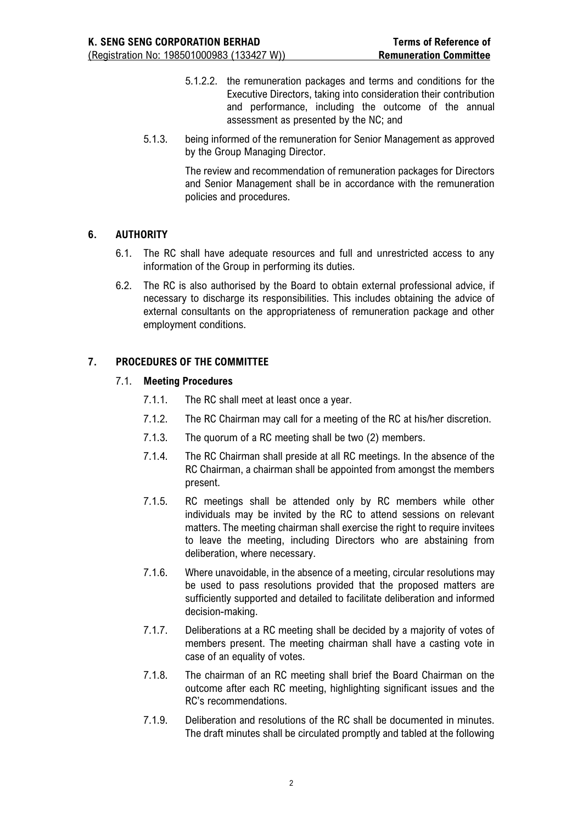- 5.1.2.2. the remuneration packages and terms and conditions for the Executive Directors, taking into consideration their contribution and performance, including the outcome of the annual assessment as presented by the NC; and
- 5.1.3. being informed of the remuneration for Senior Management as approved by the Group Managing Director.

The review and recommendation of remuneration packages for Directors and Senior Management shall be in accordance with the remuneration policies and procedures.

# **6. AUTHORITY**

- 6.1. The RC shall have adequate resources and full and unrestricted access to any information of the Group in performing its duties.
- 6.2. The RC is also authorised by the Board to obtain external professional advice, if necessary to discharge its responsibilities. This includes obtaining the advice of external consultants on the appropriateness of remuneration package and other employment conditions.

# **7. PROCEDURES OF THE COMMITTEE**

#### 7.1. **Meeting Procedures**

- 7.1.1. The RC shall meet at least once a year.
- 7.1.2. The RC Chairman may call for a meeting of the RC at his/her discretion.
- 7.1.3. The quorum of a RC meeting shall be two (2) members.
- 7.1.4. The RC Chairman shall preside at all RC meetings. In the absence of the RC Chairman, a chairman shall be appointed from amongst the members present.
- 7.1.5. RC meetings shall be attended only by RC members while other individuals may be invited by the RC to attend sessions on relevant matters. The meeting chairman shall exercise the right to require invitees to leave the meeting, including Directors who are abstaining from deliberation, where necessary.
- 7.1.6. Where unavoidable, in the absence of a meeting, circular resolutions may be used to pass resolutions provided that the proposed matters are sufficiently supported and detailed to facilitate deliberation and informed decision-making.
- 7.1.7. Deliberations at a RC meeting shall be decided by a majority of votes of members present. The meeting chairman shall have a casting vote in case of an equality of votes.
- 7.1.8. The chairman of an RC meeting shall brief the Board Chairman on the outcome after each RC meeting, highlighting significant issues and the RC's recommendations.
- 7.1.9. Deliberation and resolutions of the RC shall be documented in minutes. The draft minutes shall be circulated promptly and tabled at the following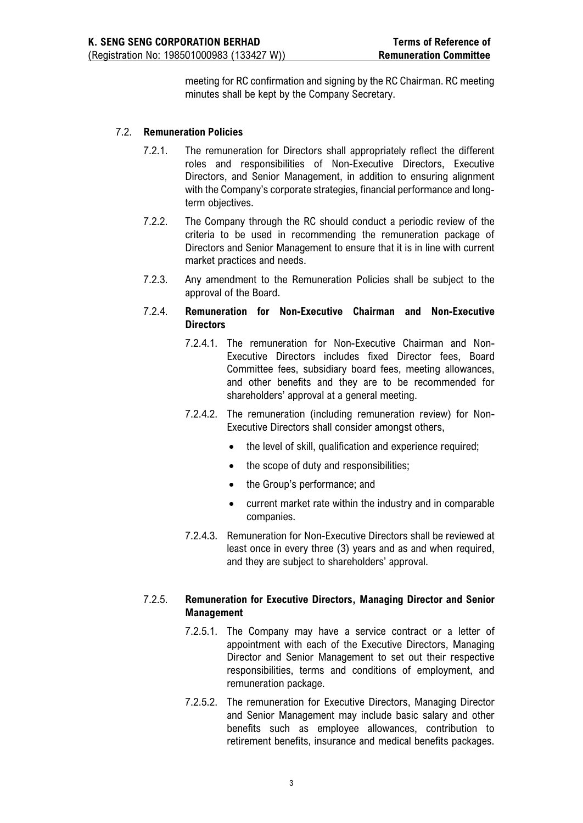meeting for RC confirmation and signing by the RC Chairman. RC meeting minutes shall be kept by the Company Secretary.

#### 7.2. **Remuneration Policies**

- 7.2.1. The remuneration for Directors shall appropriately reflect the different roles and responsibilities of Non-Executive Directors, Executive Directors, and Senior Management, in addition to ensuring alignment with the Company's corporate strategies, financial performance and longterm objectives.
- 7.2.2. The Company through the RC should conduct a periodic review of the criteria to be used in recommending the remuneration package of Directors and Senior Management to ensure that it is in line with current market practices and needs.
- 7.2.3. Any amendment to the Remuneration Policies shall be subject to the approval of the Board.
- 7.2.4. **Remuneration for Non-Executive Chairman and Non-Executive Directors** 
	- 7.2.4.1. The remuneration for Non-Executive Chairman and Non-Executive Directors includes fixed Director fees, Board Committee fees, subsidiary board fees, meeting allowances, and other benefits and they are to be recommended for shareholders' approval at a general meeting.
	- 7.2.4.2. The remuneration (including remuneration review) for Non-Executive Directors shall consider amongst others,
		- the level of skill, qualification and experience required;
		- the scope of duty and responsibilities;
		- the Group's performance; and
		- current market rate within the industry and in comparable companies.
	- 7.2.4.3. Remuneration for Non-Executive Directors shall be reviewed at least once in every three (3) years and as and when required, and they are subject to shareholders' approval.

#### 7.2.5. **Remuneration for Executive Directors, Managing Director and Senior Management**

- 7.2.5.1. The Company may have a service contract or a letter of appointment with each of the Executive Directors, Managing Director and Senior Management to set out their respective responsibilities, terms and conditions of employment, and remuneration package.
- 7.2.5.2. The remuneration for Executive Directors, Managing Director and Senior Management may include basic salary and other benefits such as employee allowances, contribution to retirement benefits, insurance and medical benefits packages.